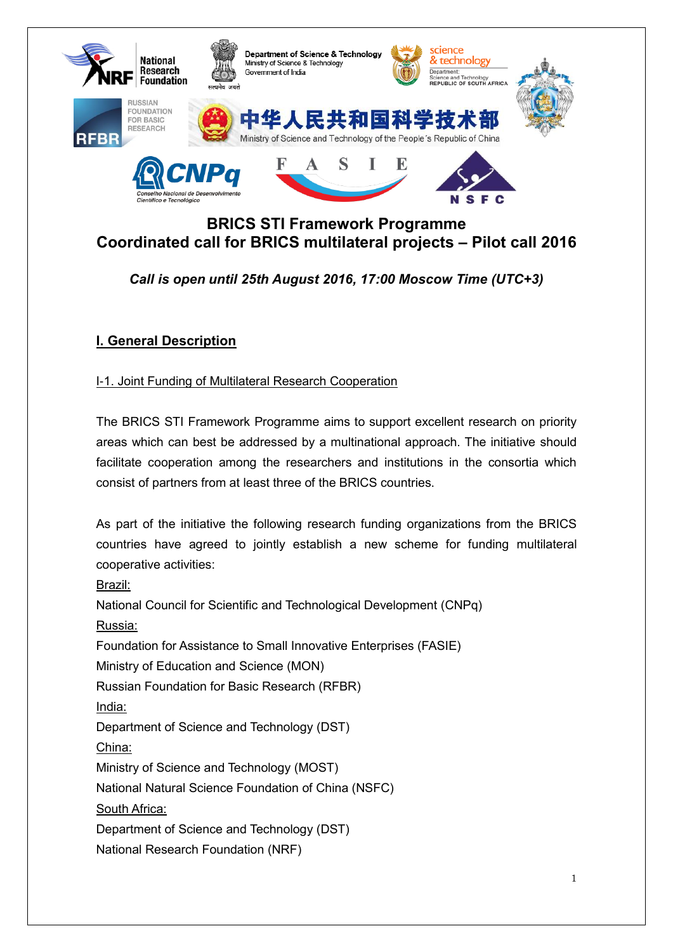

# **BRICS STI Framework Programme Coordinated call for BRICS multilateral projects – Pilot call 2016**

# *Call is open until 25th August 2016, 17:00 Moscow Time (UTC+3)*

# **I. General Description**

# I-1. Joint Funding of Multilateral Research Cooperation

The BRICS STI Framework Programme aims to support excellent research on priority areas which can best be addressed by a multinational approach. The initiative should facilitate cooperation among the researchers and institutions in the consortia which consist of partners from at least three of the BRICS countries.

As part of the initiative the following research funding organizations from the BRICS countries have agreed to jointly establish a new scheme for funding multilateral cooperative activities:

Brazil:

National Council for Scientific and Technological Development (CNPq) Russia: Foundation for Assistance to Small Innovative Enterprises (FASIE) Ministry of Education and Science (MON) Russian Foundation for Basic Research (RFBR) India: Department of Science and Technology (DST) China: Ministry of Science and Technology (MOST) National Natural Science Foundation of China (NSFC) South Africa: Department of Science and Technology (DST) National Research Foundation (NRF)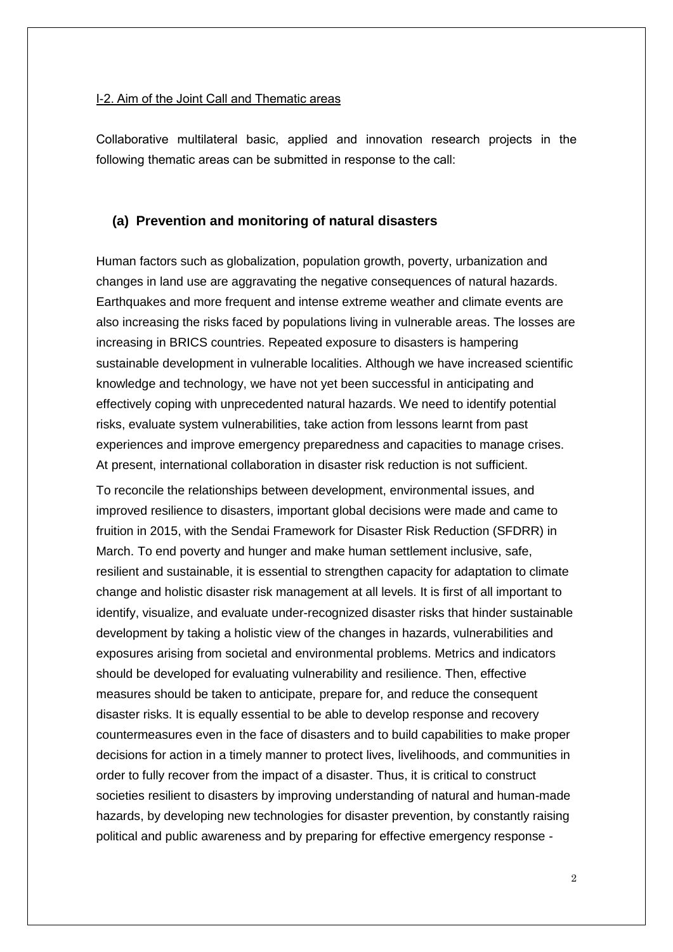#### I-2. Aim of the Joint Call and Thematic areas

Collaborative multilateral basic, applied and innovation research projects in the following thematic areas can be submitted in response to the call:

#### **(a) Prevention and monitoring of natural disasters**

Human factors such as globalization, population growth, poverty, urbanization and changes in land use are aggravating the negative consequences of natural hazards. Earthquakes and more frequent and intense extreme weather and climate events are also increasing the risks faced by populations living in vulnerable areas. The losses are increasing in BRICS countries. Repeated exposure to disasters is hampering sustainable development in vulnerable localities. Although we have increased scientific knowledge and technology, we have not yet been successful in anticipating and effectively coping with unprecedented natural hazards. We need to identify potential risks, evaluate system vulnerabilities, take action from lessons learnt from past experiences and improve emergency preparedness and capacities to manage crises. At present, international collaboration in disaster risk reduction is not sufficient.

To reconcile the relationships between development, environmental issues, and improved resilience to disasters, important global decisions were made and came to fruition in 2015, with the Sendai Framework for Disaster Risk Reduction (SFDRR) in March. To end poverty and hunger and make human settlement inclusive, safe, resilient and sustainable, it is essential to strengthen capacity for adaptation to climate change and holistic disaster risk management at all levels. It is first of all important to identify, visualize, and evaluate under-recognized disaster risks that hinder sustainable development by taking a holistic view of the changes in hazards, vulnerabilities and exposures arising from societal and environmental problems. Metrics and indicators should be developed for evaluating vulnerability and resilience. Then, effective measures should be taken to anticipate, prepare for, and reduce the consequent disaster risks. It is equally essential to be able to develop response and recovery countermeasures even in the face of disasters and to build capabilities to make proper decisions for action in a timely manner to protect lives, livelihoods, and communities in order to fully recover from the impact of a disaster. Thus, it is critical to construct societies resilient to disasters by improving understanding of natural and human-made hazards, by developing new technologies for disaster prevention, by constantly raising political and public awareness and by preparing for effective emergency response -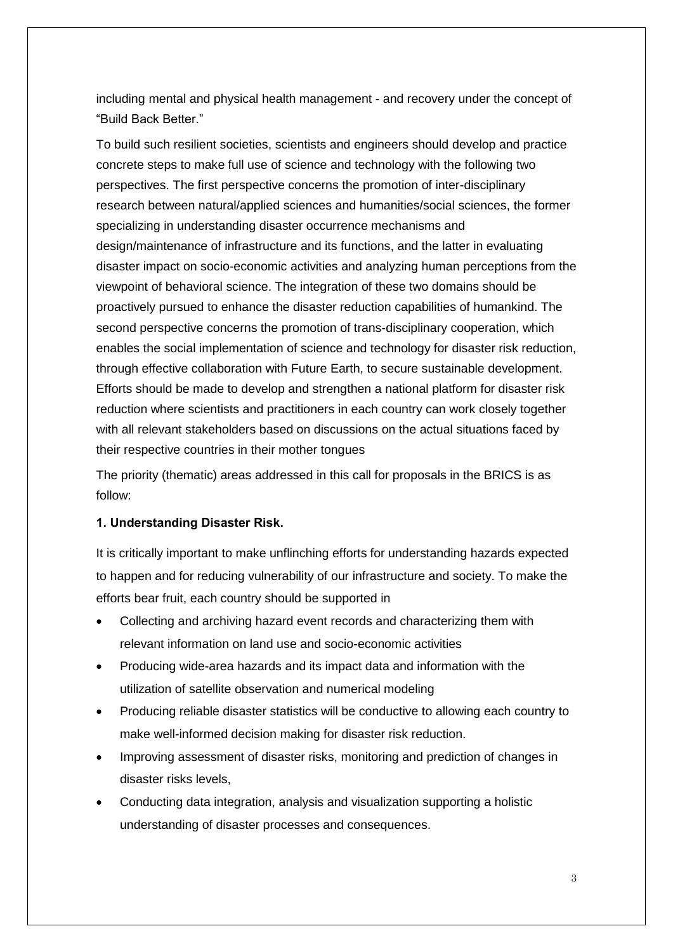including mental and physical health management - and recovery under the concept of "Build Back Better."

To build such resilient societies, scientists and engineers should develop and practice concrete steps to make full use of science and technology with the following two perspectives. The first perspective concerns the promotion of inter-disciplinary research between natural/applied sciences and humanities/social sciences, the former specializing in understanding disaster occurrence mechanisms and design/maintenance of infrastructure and its functions, and the latter in evaluating disaster impact on socio-economic activities and analyzing human perceptions from the viewpoint of behavioral science. The integration of these two domains should be proactively pursued to enhance the disaster reduction capabilities of humankind. The second perspective concerns the promotion of trans-disciplinary cooperation, which enables the social implementation of science and technology for disaster risk reduction, through effective collaboration with Future Earth, to secure sustainable development. Efforts should be made to develop and strengthen a national platform for disaster risk reduction where scientists and practitioners in each country can work closely together with all relevant stakeholders based on discussions on the actual situations faced by their respective countries in their mother tongues

The priority (thematic) areas addressed in this call for proposals in the BRICS is as follow:

#### **1. Understanding Disaster Risk.**

It is critically important to make unflinching efforts for understanding hazards expected to happen and for reducing vulnerability of our infrastructure and society. To make the efforts bear fruit, each country should be supported in

- Collecting and archiving hazard event records and characterizing them with relevant information on land use and socio-economic activities
- Producing wide-area hazards and its impact data and information with the utilization of satellite observation and numerical modeling
- Producing reliable disaster statistics will be conductive to allowing each country to make well-informed decision making for disaster risk reduction.
- Improving assessment of disaster risks, monitoring and prediction of changes in disaster risks levels,
- Conducting data integration, analysis and visualization supporting a holistic understanding of disaster processes and consequences.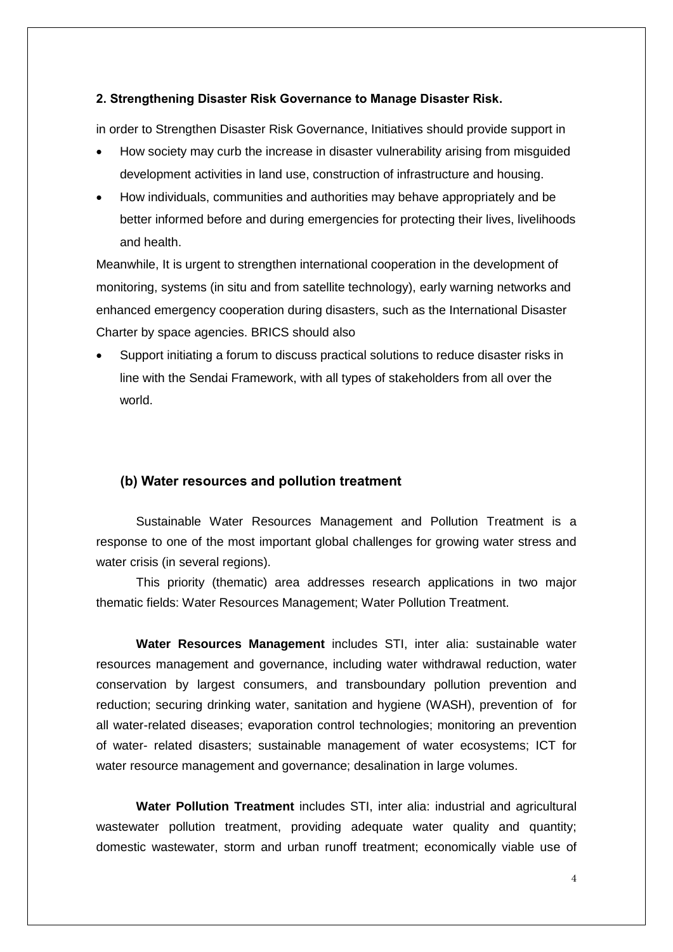#### **2. Strengthening Disaster Risk Governance to Manage Disaster Risk.**

in order to Strengthen Disaster Risk Governance, Initiatives should provide support in

- How society may curb the increase in disaster vulnerability arising from misguided development activities in land use, construction of infrastructure and housing.
- How individuals, communities and authorities may behave appropriately and be better informed before and during emergencies for protecting their lives, livelihoods and health.

Meanwhile, It is urgent to strengthen international cooperation in the development of monitoring, systems (in situ and from satellite technology), early warning networks and enhanced emergency cooperation during disasters, such as the International Disaster Charter by space agencies. BRICS should also

 Support initiating a forum to discuss practical solutions to reduce disaster risks in line with the Sendai Framework, with all types of stakeholders from all over the world.

#### **(b) Water resources and pollution treatment**

Sustainable Water Resources Management and Pollution Treatment is a response to one of the most important global challenges for growing water stress and water crisis (in several regions).

This priority (thematic) area addresses research applications in two major thematic fields: Water Resources Management; Water Pollution Treatment.

**Water Resources Management** includes STI, inter alia: sustainable water resources management and governance, including water withdrawal reduction, water conservation by largest consumers, and transboundary pollution prevention and reduction; securing drinking water, sanitation and hygiene (WASH), prevention of for all water-related diseases; evaporation control technologies; monitoring an prevention of water- related disasters; sustainable management of water ecosystems; ICT for water resource management and governance; desalination in large volumes.

**Water Pollution Treatment** includes STI, inter alia: industrial and agricultural wastewater pollution treatment, providing adequate water quality and quantity; domestic wastewater, storm and urban runoff treatment; economically viable use of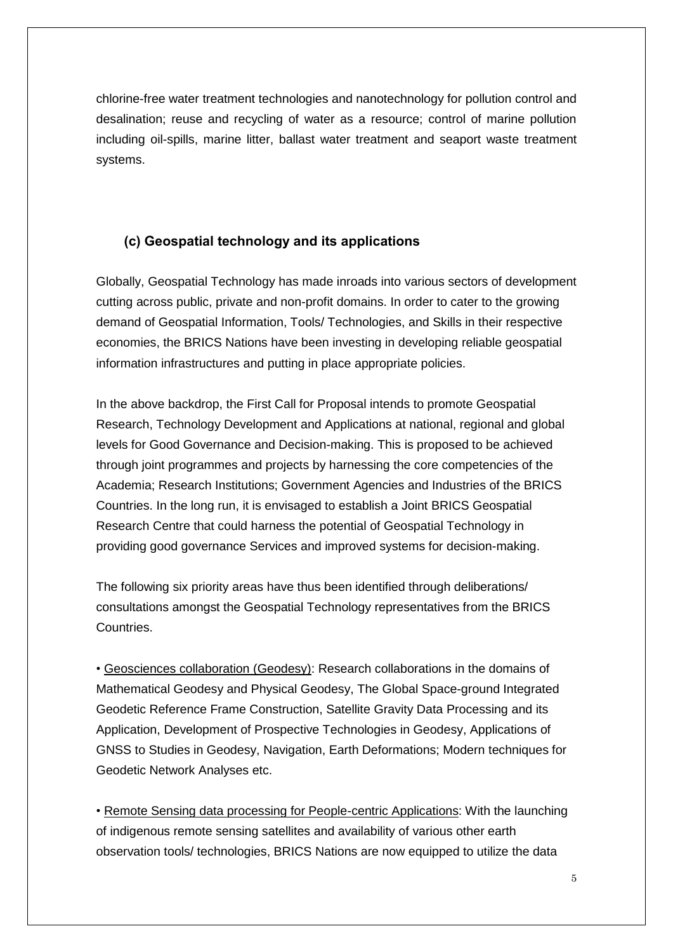chlorine-free water treatment technologies and nanotechnology for pollution control and desalination; reuse and recycling of water as a resource; control of marine pollution including oil-spills, marine litter, ballast water treatment and seaport waste treatment systems.

# **(c) Geospatial technology and its applications**

Globally, Geospatial Technology has made inroads into various sectors of development cutting across public, private and non-profit domains. In order to cater to the growing demand of Geospatial Information, Tools/ Technologies, and Skills in their respective economies, the BRICS Nations have been investing in developing reliable geospatial information infrastructures and putting in place appropriate policies.

In the above backdrop, the First Call for Proposal intends to promote Geospatial Research, Technology Development and Applications at national, regional and global levels for Good Governance and Decision-making. This is proposed to be achieved through joint programmes and projects by harnessing the core competencies of the Academia; Research Institutions; Government Agencies and Industries of the BRICS Countries. In the long run, it is envisaged to establish a Joint BRICS Geospatial Research Centre that could harness the potential of Geospatial Technology in providing good governance Services and improved systems for decision-making.

The following six priority areas have thus been identified through deliberations/ consultations amongst the Geospatial Technology representatives from the BRICS Countries.

• Geosciences collaboration (Geodesy): Research collaborations in the domains of Mathematical Geodesy and Physical Geodesy, The Global Space-ground Integrated Geodetic Reference Frame Construction, Satellite Gravity Data Processing and its Application, Development of Prospective Technologies in Geodesy, Applications of GNSS to Studies in Geodesy, Navigation, Earth Deformations; Modern techniques for Geodetic Network Analyses etc.

• Remote Sensing data processing for People-centric Applications: With the launching of indigenous remote sensing satellites and availability of various other earth observation tools/ technologies, BRICS Nations are now equipped to utilize the data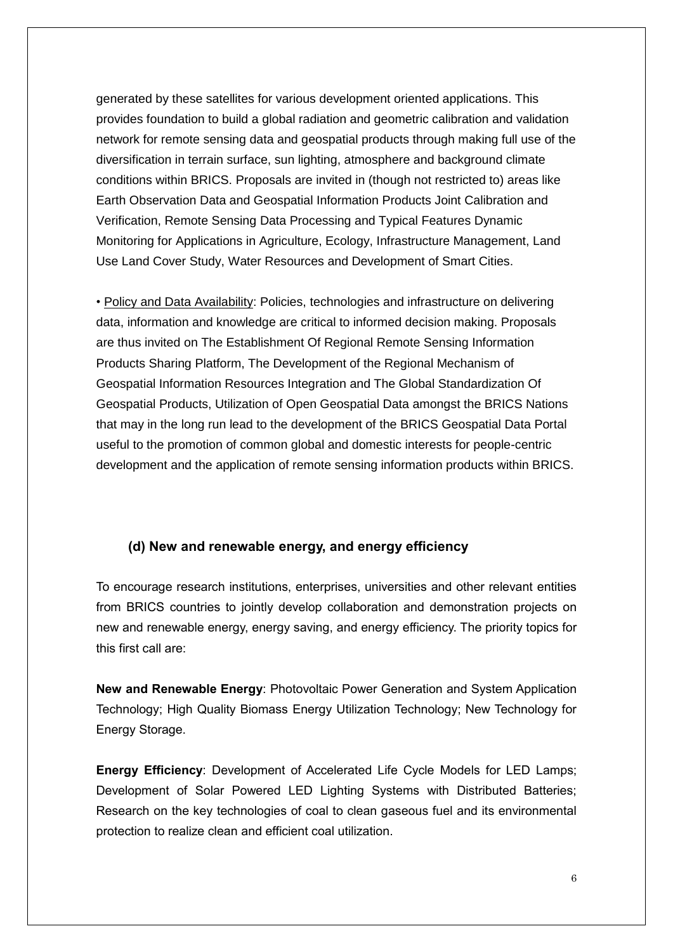generated by these satellites for various development oriented applications. This provides foundation to build a global radiation and geometric calibration and validation network for remote sensing data and geospatial products through making full use of the diversification in terrain surface, sun lighting, atmosphere and background climate conditions within BRICS. Proposals are invited in (though not restricted to) areas like Earth Observation Data and Geospatial Information Products Joint Calibration and Verification, Remote Sensing Data Processing and Typical Features Dynamic Monitoring for Applications in Agriculture, Ecology, Infrastructure Management, Land Use Land Cover Study, Water Resources and Development of Smart Cities.

• Policy and Data Availability: Policies, technologies and infrastructure on delivering data, information and knowledge are critical to informed decision making. Proposals are thus invited on The Establishment Of Regional Remote Sensing Information Products Sharing Platform, The Development of the Regional Mechanism of Geospatial Information Resources Integration and The Global Standardization Of Geospatial Products, Utilization of Open Geospatial Data amongst the BRICS Nations that may in the long run lead to the development of the BRICS Geospatial Data Portal useful to the promotion of common global and domestic interests for people-centric development and the application of remote sensing information products within BRICS.

#### **(d) New and renewable energy, and energy efficiency**

To encourage research institutions, enterprises, universities and other relevant entities from BRICS countries to jointly develop collaboration and demonstration projects on new and renewable energy, energy saving, and energy efficiency. The priority topics for this first call are:

**New and Renewable Energy**: Photovoltaic Power Generation and System Application Technology; High Quality Biomass Energy Utilization Technology; New Technology for Energy Storage.

**Energy Efficiency**: Development of Accelerated Life Cycle Models for LED Lamps; Development of Solar Powered LED Lighting Systems with Distributed Batteries; Research on the key technologies of coal to clean gaseous fuel and its environmental protection to realize clean and efficient coal utilization.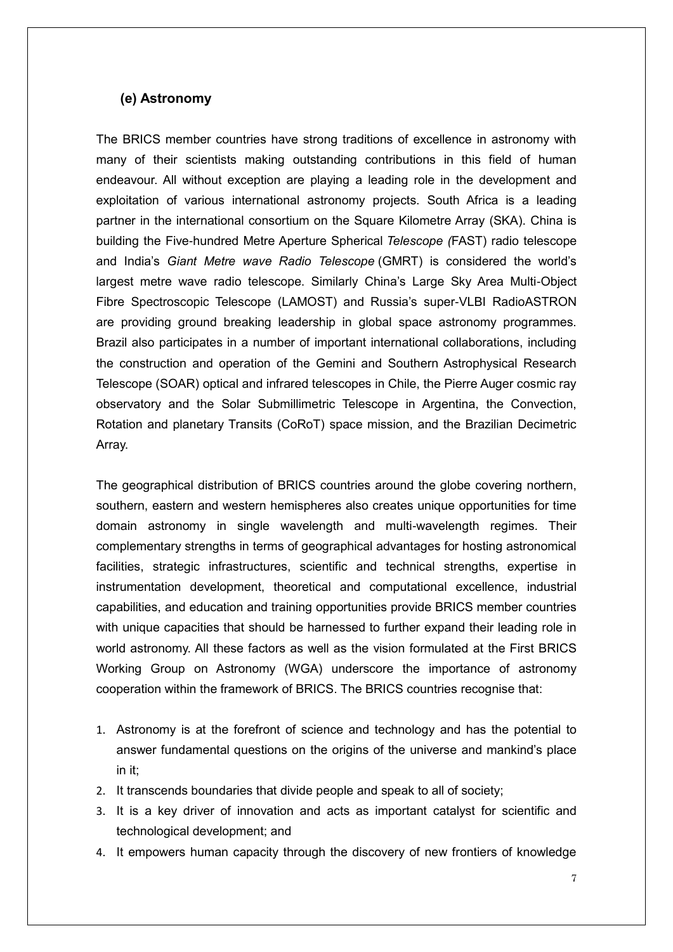## **(e) Astronomy**

The BRICS member countries have strong traditions of excellence in astronomy with many of their scientists making outstanding contributions in this field of human endeavour. All without exception are playing a leading role in the development and exploitation of various international astronomy projects. South Africa is a leading partner in the international consortium on the Square Kilometre Array (SKA). China is building the Five-hundred Metre Aperture Spherical *Telescope (*FAST) radio telescope and India's *Giant Metre wave Radio Telescope* (GMRT) is considered the world's largest metre wave radio telescope. Similarly China's Large Sky Area Multi-Object Fibre Spectroscopic Telescope (LAMOST) and Russia's super-VLBI RadioASTRON are providing ground breaking leadership in global space astronomy programmes. Brazil also participates in a number of important international collaborations, including the construction and operation of the Gemini and Southern Astrophysical Research Telescope (SOAR) optical and infrared telescopes in Chile, the Pierre Auger cosmic ray observatory and the Solar Submillimetric Telescope in Argentina, the Convection, Rotation and planetary Transits (CoRoT) space mission, and the Brazilian Decimetric Array.

The geographical distribution of BRICS countries around the globe covering northern, southern, eastern and western hemispheres also creates unique opportunities for time domain astronomy in single wavelength and multi-wavelength regimes. Their complementary strengths in terms of geographical advantages for hosting astronomical facilities, strategic infrastructures, scientific and technical strengths, expertise in instrumentation development, theoretical and computational excellence, industrial capabilities, and education and training opportunities provide BRICS member countries with unique capacities that should be harnessed to further expand their leading role in world astronomy. All these factors as well as the vision formulated at the First BRICS Working Group on Astronomy (WGA) underscore the importance of astronomy cooperation within the framework of BRICS. The BRICS countries recognise that:

- 1. Astronomy is at the forefront of science and technology and has the potential to answer fundamental questions on the origins of the universe and mankind's place in it;
- 2. It transcends boundaries that divide people and speak to all of society;
- 3. It is a key driver of innovation and acts as important catalyst for scientific and technological development; and
- 4. It empowers human capacity through the discovery of new frontiers of knowledge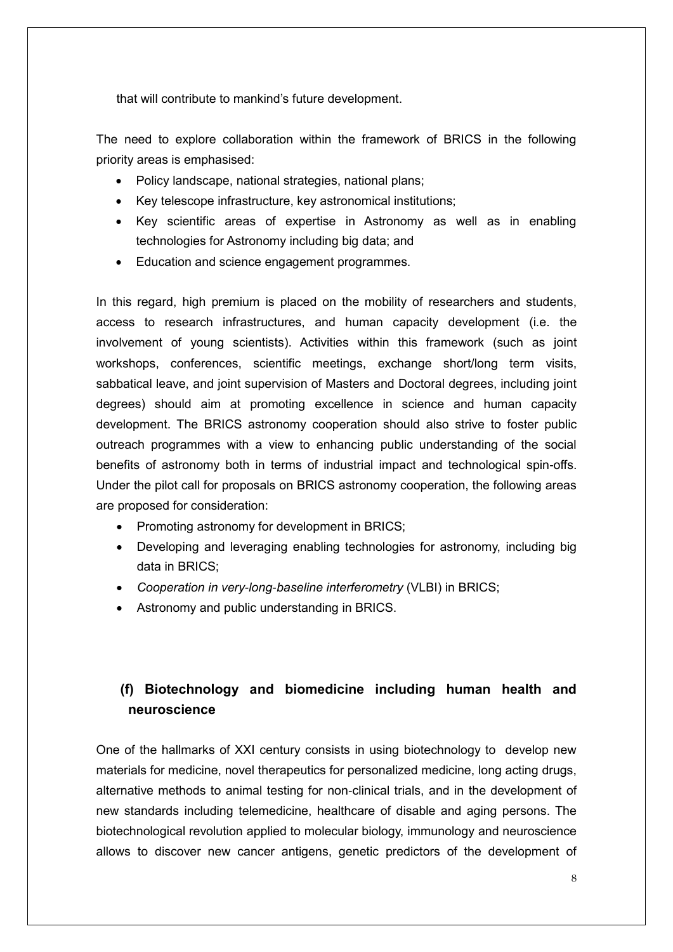that will contribute to mankind's future development.

The need to explore collaboration within the framework of BRICS in the following priority areas is emphasised:

- Policy landscape, national strategies, national plans;
- Key telescope infrastructure, key astronomical institutions;
- Key scientific areas of expertise in Astronomy as well as in enabling technologies for Astronomy including big data; and
- Education and science engagement programmes.

In this regard, high premium is placed on the mobility of researchers and students, access to research infrastructures, and human capacity development (i.e. the involvement of young scientists). Activities within this framework (such as joint workshops, conferences, scientific meetings, exchange short/long term visits, sabbatical leave, and joint supervision of Masters and Doctoral degrees, including joint degrees) should aim at promoting excellence in science and human capacity development. The BRICS astronomy cooperation should also strive to foster public outreach programmes with a view to enhancing public understanding of the social benefits of astronomy both in terms of industrial impact and technological spin-offs. Under the pilot call for proposals on BRICS astronomy cooperation, the following areas are proposed for consideration:

- Promoting astronomy for development in BRICS;
- Developing and leveraging enabling technologies for astronomy, including big data in BRICS;
- *Cooperation in very*-*long*-*baseline interferometry* (VLBI) in BRICS;
- Astronomy and public understanding in BRICS.

# **(f) Biotechnology and biomedicine including human health and neuroscience**

One of the hallmarks of XXI century consists in using biotechnology to develop new materials for medicine, novel therapeutics for personalized medicine, long acting drugs, alternative methods to animal testing for non-clinical trials, and in the development of new standards including telemedicine, healthcare of disable and aging persons. The biotechnological revolution applied to molecular biology, immunology and neuroscience allows to discover new cancer antigens, genetic predictors of the development of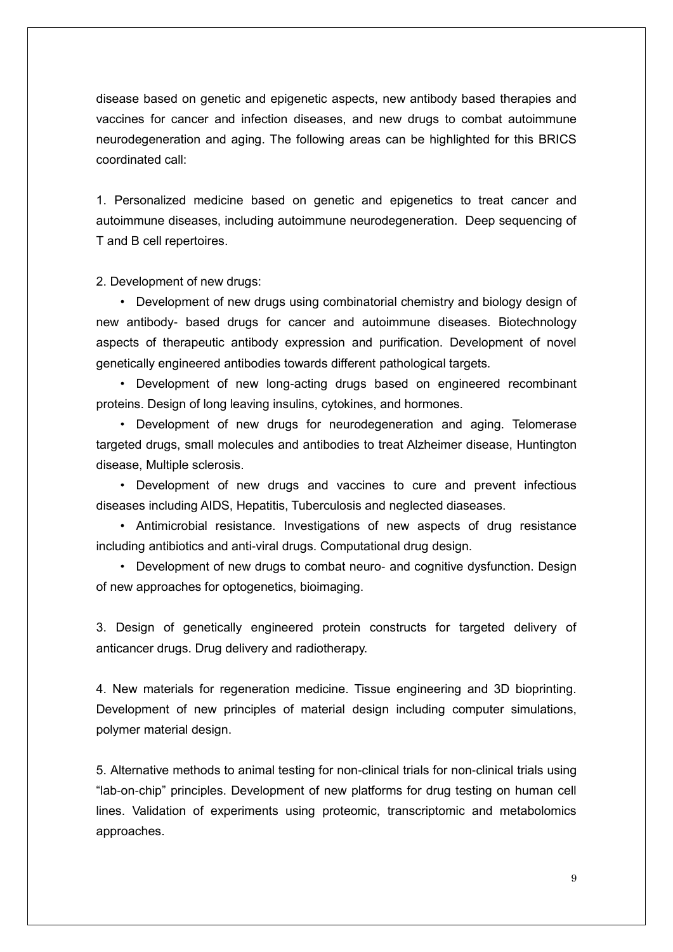disease based on genetic and epigenetic aspects, new antibody based therapies and vaccines for cancer and infection diseases, and new drugs to combat autoimmune neurodegeneration and aging. The following areas can be highlighted for this BRICS coordinated call:

1. Personalized medicine based on genetic and epigenetics to treat cancer and autoimmune diseases, including autoimmune neurodegeneration. Deep sequencing of T and B cell repertoires.

2. Development of new drugs:

• Development of new drugs using combinatorial chemistry and biology design of new antibody- based drugs for cancer and autoimmune diseases. Biotechnology aspects of therapeutic antibody expression and purification. Development of novel genetically engineered antibodies towards different pathological targets.

• Development of new long-acting drugs based on engineered recombinant proteins. Design of long leaving insulins, cytokines, and hormones.

• Development of new drugs for neurodegeneration and aging. Telomerase targeted drugs, small molecules and antibodies to treat Alzheimer disease, Huntington disease, Multiple sclerosis.

• Development of new drugs and vaccines to cure and prevent infectious diseases including AIDS, Hepatitis, Tuberculosis and neglected diaseases.

• Antimicrobial resistance. Investigations of new aspects of drug resistance including antibiotics and anti-viral drugs. Computational drug design.

• Development of new drugs to combat neuro- and cognitive dysfunction. Design of new approaches for optogenetics, bioimaging.

3. Design of genetically engineered protein constructs for targeted delivery of anticancer drugs. Drug delivery and radiotherapy.

4. New materials for regeneration medicine. Tissue engineering and 3D bioprinting. Development of new principles of material design including computer simulations, polymer material design.

5. Alternative methods to animal testing for non-clinical trials for non-clinical trials using "lab-on-chip" principles. Development of new platforms for drug testing on human cell lines. Validation of experiments using proteomic, transcriptomic and metabolomics approaches.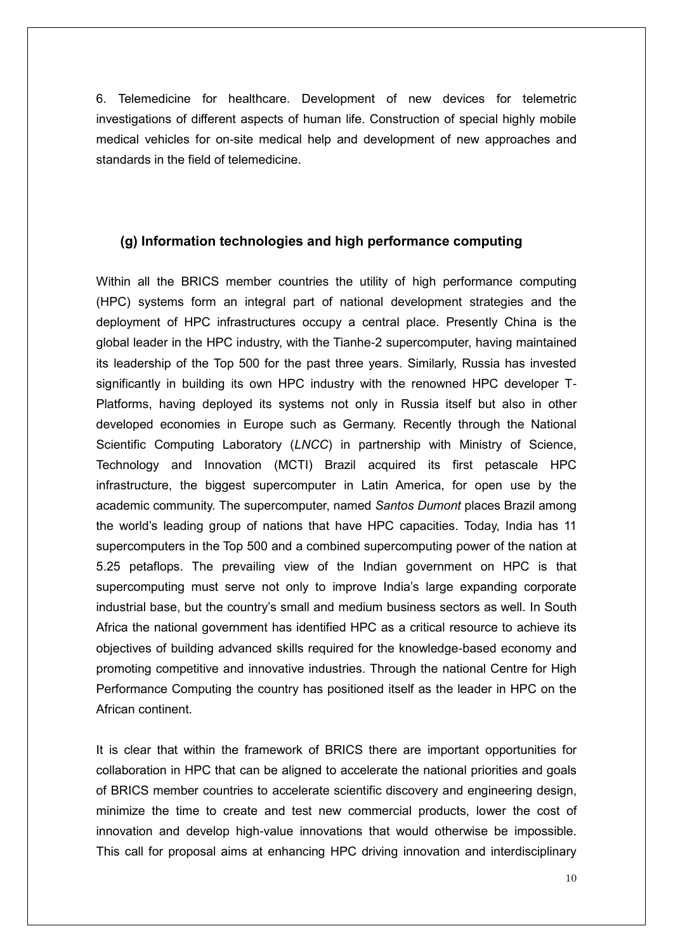6. Telemedicine for healthcare. Development of new devices for telemetric investigations of different aspects of human life. Construction of special highly mobile medical vehicles for on-site medical help and development of new approaches and standards in the field of telemedicine.

#### **(g) Information technologies and high performance computing**

Within all the BRICS member countries the utility of high performance computing (HPC) systems form an integral part of national development strategies and the deployment of HPC infrastructures occupy a central place. Presently China is the global leader in the HPC industry, with the Tianhe-2 supercomputer, having maintained its leadership of the Top 500 for the past three years. Similarly, Russia has invested significantly in building its own HPC industry with the renowned HPC developer T-Platforms, having deployed its systems not only in Russia itself but also in other developed economies in Europe such as Germany. Recently through the National Scientific Computing Laboratory (*LNCC*) in partnership with Ministry of Science, Technology and Innovation (MCTI) Brazil acquired its first petascale HPC infrastructure, the biggest supercomputer in Latin America, for open use by the academic community. The supercomputer, named *Santos Dumont* places Brazil among the world's leading group of nations that have HPC capacities. Today, India has 11 supercomputers in the Top 500 and a combined supercomputing power of the nation at 5.25 petaflops. The prevailing view of the Indian government on HPC is that supercomputing must serve not only to improve India's large expanding corporate industrial base, but the country's small and medium business sectors as well. In South Africa the national government has identified HPC as a critical resource to achieve its objectives of building advanced skills required for the knowledge-based economy and promoting competitive and innovative industries. Through the national Centre for High Performance Computing the country has positioned itself as the leader in HPC on the African continent.

It is clear that within the framework of BRICS there are important opportunities for collaboration in HPC that can be aligned to accelerate the national priorities and goals of BRICS member countries to accelerate scientific discovery and engineering design, minimize the time to create and test new commercial products, lower the cost of innovation and develop high-value innovations that would otherwise be impossible. This call for proposal aims at enhancing HPC driving innovation and interdisciplinary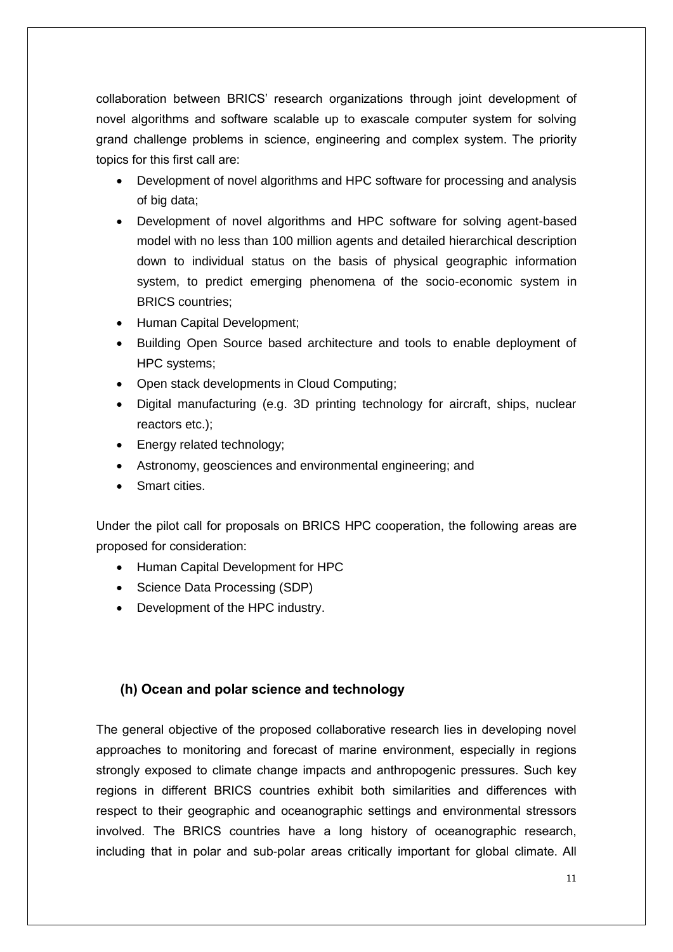collaboration between BRICS' research organizations through joint development of novel algorithms and software scalable up to exascale computer system for solving grand challenge problems in science, engineering and complex system. The priority topics for this first call are:

- Development of novel algorithms and HPC software for processing and analysis of big data;
- Development of novel algorithms and HPC software for solving agent-based model with no less than 100 million agents and detailed hierarchical description down to individual status on the basis of physical geographic information system, to predict emerging phenomena of the socio-economic system in BRICS countries;
- Human Capital Development;
- Building Open Source based architecture and tools to enable deployment of HPC systems;
- Open stack developments in Cloud Computing;
- Digital manufacturing (e.g. 3D printing technology for aircraft, ships, nuclear reactors etc.);
- Energy related technology;
- Astronomy, geosciences and environmental engineering; and
- Smart cities.

Under the pilot call for proposals on BRICS HPC cooperation, the following areas are proposed for consideration:

- Human Capital Development for HPC
- Science Data Processing (SDP)
- Development of the HPC industry.

#### **(h) Ocean and polar science and technology**

The general objective of the proposed collaborative research lies in developing novel approaches to monitoring and forecast of marine environment, especially in regions strongly exposed to climate change impacts and anthropogenic pressures. Such key regions in different BRICS countries exhibit both similarities and differences with respect to their geographic and oceanographic settings and environmental stressors involved. The BRICS countries have a long history of oceanographic research, including that in polar and sub-polar areas critically important for global climate. All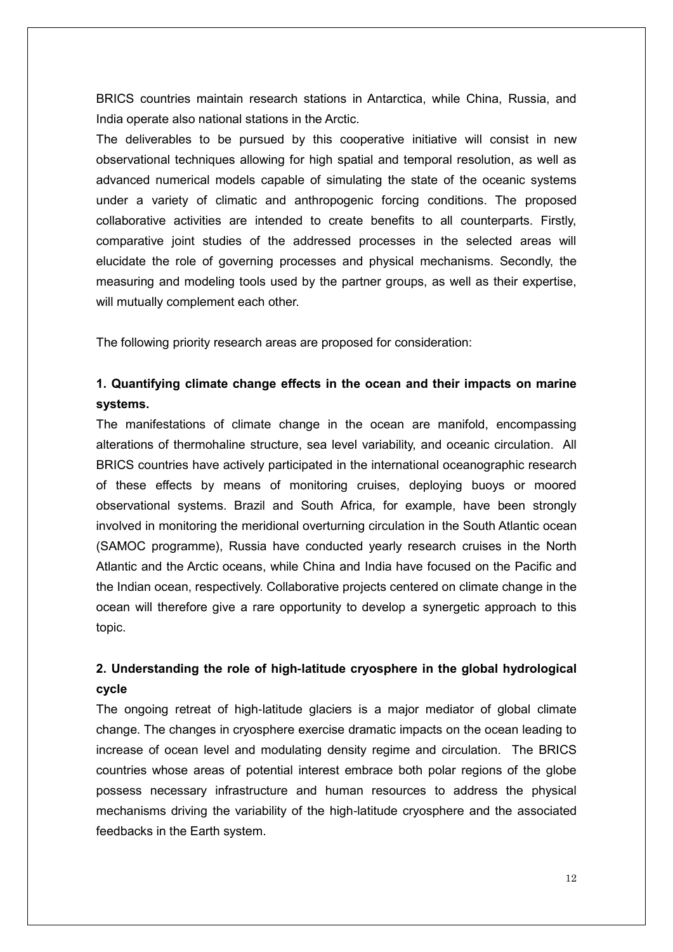BRICS countries maintain research stations in Antarctica, while China, Russia, and India operate also national stations in the Arctic.

The deliverables to be pursued by this cooperative initiative will consist in new observational techniques allowing for high spatial and temporal resolution, as well as advanced numerical models capable of simulating the state of the oceanic systems under a variety of climatic and anthropogenic forcing conditions. The proposed collaborative activities are intended to create benefits to all counterparts. Firstly, comparative joint studies of the addressed processes in the selected areas will elucidate the role of governing processes and physical mechanisms. Secondly, the measuring and modeling tools used by the partner groups, as well as their expertise, will mutually complement each other.

The following priority research areas are proposed for consideration:

# **1. Quantifying climate change effects in the ocean and their impacts on marine systems.**

The manifestations of climate change in the ocean are manifold, encompassing alterations of thermohaline structure, sea level variability, and oceanic circulation. All BRICS countries have actively participated in the international oceanographic research of these effects by means of monitoring cruises, deploying buoys or moored observational systems. Brazil and South Africa, for example, have been strongly involved in monitoring the meridional overturning circulation in the South Atlantic ocean (SAMOC programme), Russia have conducted yearly research cruises in the North Atlantic and the Arctic oceans, while China and India have focused on the Pacific and the Indian ocean, respectively. Collaborative projects centered on climate change in the ocean will therefore give a rare opportunity to develop a synergetic approach to this topic.

# **2. Understanding the role of high-latitude cryosphere in the global hydrological cycle**

The ongoing retreat of high-latitude glaciers is a major mediator of global climate change. The changes in cryosphere exercise dramatic impacts on the ocean leading to increase of ocean level and modulating density regime and circulation. The BRICS countries whose areas of potential interest embrace both polar regions of the globe possess necessary infrastructure and human resources to address the physical mechanisms driving the variability of the high-latitude cryosphere and the associated feedbacks in the Earth system.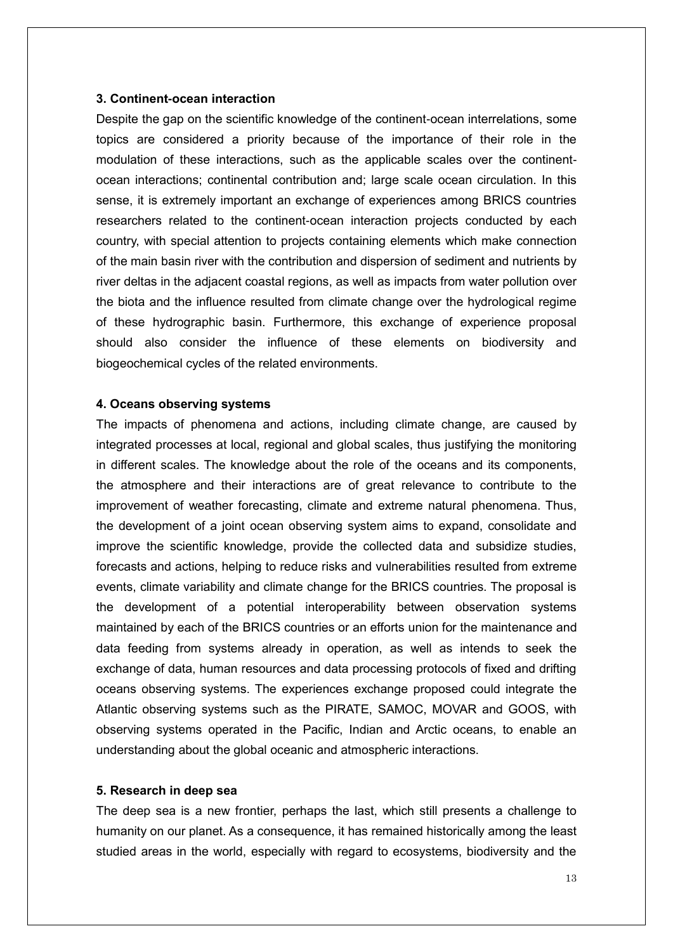#### **3. Continent-ocean interaction**

Despite the gap on the scientific knowledge of the continent-ocean interrelations, some topics are considered a priority because of the importance of their role in the modulation of these interactions, such as the applicable scales over the continentocean interactions; continental contribution and; large scale ocean circulation. In this sense, it is extremely important an exchange of experiences among BRICS countries researchers related to the continent-ocean interaction projects conducted by each country, with special attention to projects containing elements which make connection of the main basin river with the contribution and dispersion of sediment and nutrients by river deltas in the adjacent coastal regions, as well as impacts from water pollution over the biota and the influence resulted from climate change over the hydrological regime of these hydrographic basin. Furthermore, this exchange of experience proposal should also consider the influence of these elements on biodiversity and biogeochemical cycles of the related environments.

#### **4. Oceans observing systems**

The impacts of phenomena and actions, including climate change, are caused by integrated processes at local, regional and global scales, thus justifying the monitoring in different scales. The knowledge about the role of the oceans and its components, the atmosphere and their interactions are of great relevance to contribute to the improvement of weather forecasting, climate and extreme natural phenomena. Thus, the development of a joint ocean observing system aims to expand, consolidate and improve the scientific knowledge, provide the collected data and subsidize studies, forecasts and actions, helping to reduce risks and vulnerabilities resulted from extreme events, climate variability and climate change for the BRICS countries. The proposal is the development of a potential interoperability between observation systems maintained by each of the BRICS countries or an efforts union for the maintenance and data feeding from systems already in operation, as well as intends to seek the exchange of data, human resources and data processing protocols of fixed and drifting oceans observing systems. The experiences exchange proposed could integrate the Atlantic observing systems such as the PIRATE, SAMOC, MOVAR and GOOS, with observing systems operated in the Pacific, Indian and Arctic oceans, to enable an understanding about the global oceanic and atmospheric interactions.

#### **5. Research in deep sea**

The deep sea is a new frontier, perhaps the last, which still presents a challenge to humanity on our planet. As a consequence, it has remained historically among the least studied areas in the world, especially with regard to ecosystems, biodiversity and the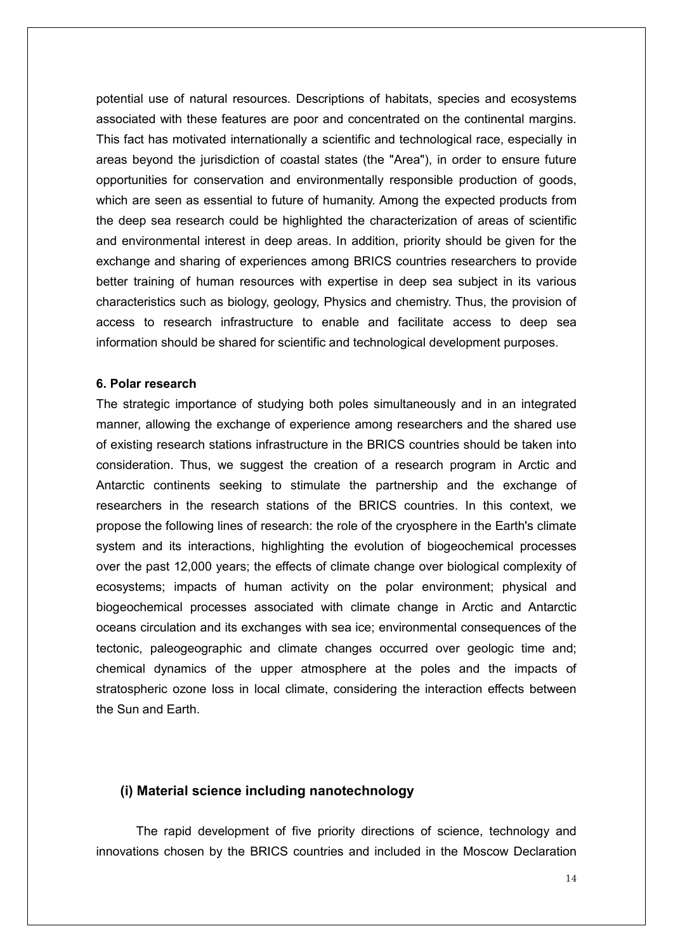potential use of natural resources. Descriptions of habitats, species and ecosystems associated with these features are poor and concentrated on the continental margins. This fact has motivated internationally a scientific and technological race, especially in areas beyond the jurisdiction of coastal states (the "Area"), in order to ensure future opportunities for conservation and environmentally responsible production of goods, which are seen as essential to future of humanity. Among the expected products from the deep sea research could be highlighted the characterization of areas of scientific and environmental interest in deep areas. In addition, priority should be given for the exchange and sharing of experiences among BRICS countries researchers to provide better training of human resources with expertise in deep sea subject in its various characteristics such as biology, geology, Physics and chemistry. Thus, the provision of access to research infrastructure to enable and facilitate access to deep sea information should be shared for scientific and technological development purposes.

#### **6. Polar research**

The strategic importance of studying both poles simultaneously and in an integrated manner, allowing the exchange of experience among researchers and the shared use of existing research stations infrastructure in the BRICS countries should be taken into consideration. Thus, we suggest the creation of a research program in Arctic and Antarctic continents seeking to stimulate the partnership and the exchange of researchers in the research stations of the BRICS countries. In this context, we propose the following lines of research: the role of the cryosphere in the Earth's climate system and its interactions, highlighting the evolution of biogeochemical processes over the past 12,000 years; the effects of climate change over biological complexity of ecosystems; impacts of human activity on the polar environment; physical and biogeochemical processes associated with climate change in Arctic and Antarctic oceans circulation and its exchanges with sea ice; environmental consequences of the tectonic, paleogeographic and climate changes occurred over geologic time and; chemical dynamics of the upper atmosphere at the poles and the impacts of stratospheric ozone loss in local climate, considering the interaction effects between the Sun and Earth.

#### **(i) Material science including nanotechnology**

The rapid development of five priority directions of science, technology and innovations chosen by the BRICS countries and included in the Moscow Declaration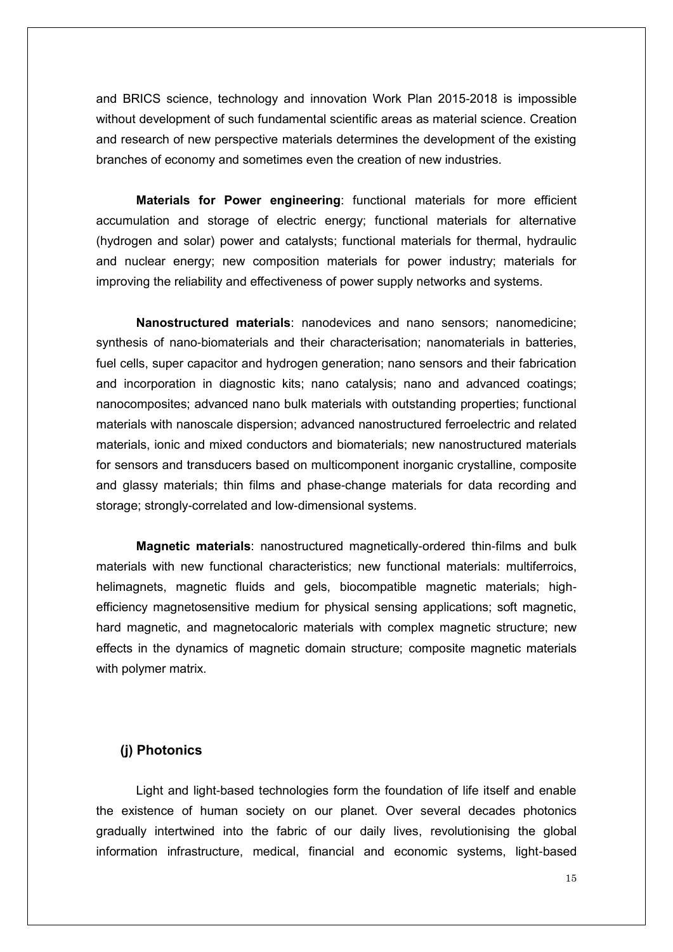and BRICS science, technology and innovation Work Plan 2015-2018 is impossible without development of such fundamental scientific areas as material science. Creation and research of new perspective materials determines the development of the existing branches of economy and sometimes even the creation of new industries.

**Materials for Power engineering**: functional materials for more efficient accumulation and storage of electric energy; functional materials for alternative (hydrogen and solar) power and catalysts; functional materials for thermal, hydraulic and nuclear energy; new composition materials for power industry; materials for improving the reliability and effectiveness of power supply networks and systems.

**Nanostructured materials**: nanodevices and nano sensors; nanomedicine; synthesis of nano-biomaterials and their characterisation; nanomaterials in batteries, fuel cells, super capacitor and hydrogen generation; nano sensors and their fabrication and incorporation in diagnostic kits; nano catalysis; nano and advanced coatings; nanocomposites; advanced nano bulk materials with outstanding properties; functional materials with nanoscale dispersion; advanced nanostructured ferroelectric and related materials, ionic and mixed conductors and biomaterials; new nanostructured materials for sensors and transducers based on multicomponent inorganic crystalline, composite and glassy materials; thin films and phase-change materials for data recording and storage; strongly-correlated and low-dimensional systems.

**Magnetic materials**: nanostructured magnetically-ordered thin-films and bulk materials with new functional characteristics; new functional materials: multiferroics, helimagnets, magnetic fluids and gels, biocompatible magnetic materials; highefficiency magnetosensitive medium for physical sensing applications; soft magnetic, hard magnetic, and magnetocaloric materials with complex magnetic structure; new effects in the dynamics of magnetic domain structure; сomposite magnetic materials with polymer matrix.

### **(j) Photonics**

Light and light-based technologies form the foundation of life itself and enable the existence of human society on our planet. Over several decades photonics gradually intertwined into the fabric of our daily lives, revolutionising the global information infrastructure, medical, financial and economic systems, light-based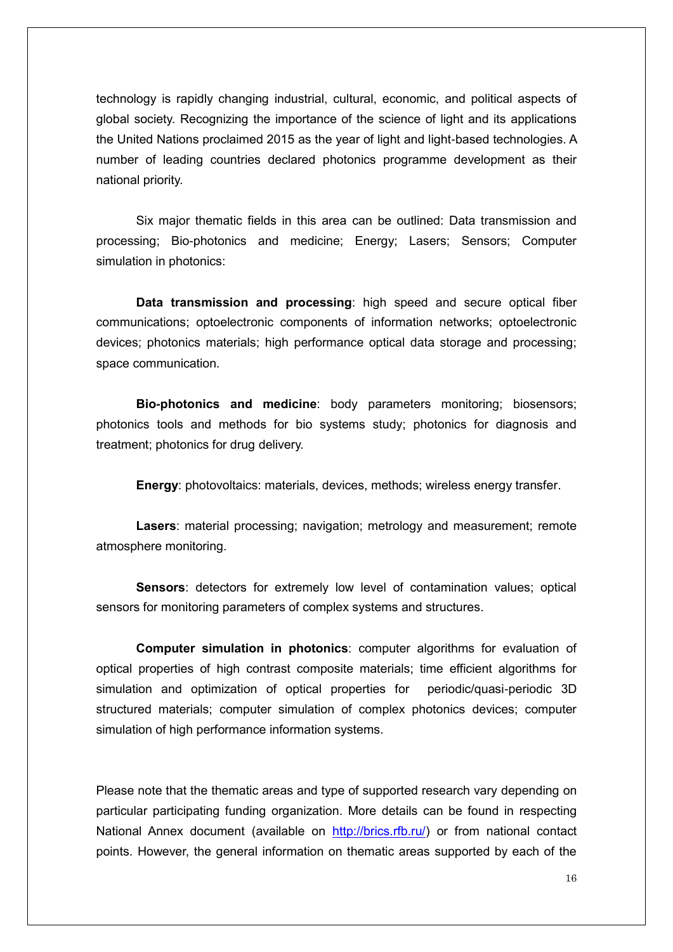technology is rapidly changing industrial, cultural, economic, and political aspects of global society. Recognizing the importance of the science of light and its applications the United Nations proclaimed 2015 as the year of light and light-based technologies. A number of leading countries declared photonics programme development as their national priority.

Six major thematic fields in this area can be outlined: Data transmission and processing; Bio-photonics and medicine; Energy; Lasers; Sensors; Computer simulation in photonics:

**Data transmission and processing**: high speed and secure optical fiber communications; optoelectronic components of information networks; optoelectronic devices; photonics materials; high performance optical data storage and processing; space communication.

**Bio-photonics and medicine**: body parameters monitoring; biosensors; photonics tools and methods for bio systems study; photonics for diagnosis and treatment; photonics for drug delivery.

**Energy**: photovoltaics: materials, devices, methods; wireless energy transfer.

**Lasers**: material processing; navigation; metrology and measurement; remote atmosphere monitoring.

**Sensors**: detectors for extremely low level of contamination values; optical sensors for monitoring parameters of complex systems and structures.

**Computer simulation in photonics**: computer algorithms for evaluation of optical properties of high contrast composite materials; time efficient algorithms for simulation and optimization of optical properties for periodic/quasi-periodic 3D structured materials; computer simulation of complex photonics devices; computer simulation of high performance information systems.

Please note that the thematic areas and type of supported research vary depending on particular participating funding organization. More details can be found in respecting National Annex document (available on [http://brics.rfb.ru/\)](http://brics.rfb.ru/) or from national contact points. However, the general information on thematic areas supported by each of the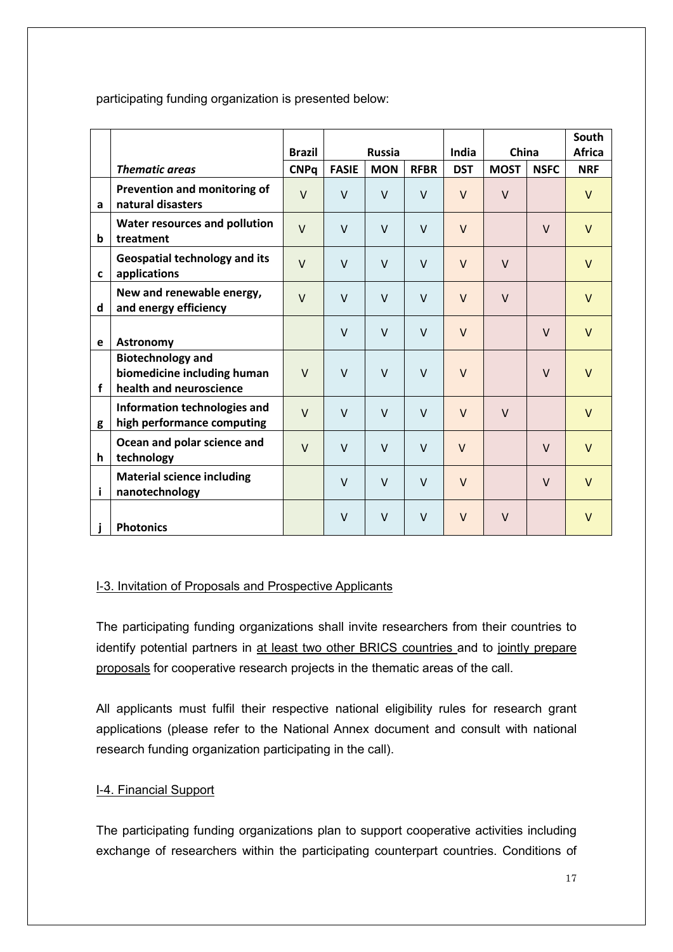participating funding organization is presented below:

|             |                                                                                    | <b>Brazil</b> | <b>Russia</b> |            |             | India      | China       |             | South<br><b>Africa</b> |
|-------------|------------------------------------------------------------------------------------|---------------|---------------|------------|-------------|------------|-------------|-------------|------------------------|
|             | <b>Thematic areas</b>                                                              | <b>CNPq</b>   | <b>FASIE</b>  | <b>MON</b> | <b>RFBR</b> | <b>DST</b> | <b>MOST</b> | <b>NSFC</b> | <b>NRF</b>             |
| a           | Prevention and monitoring of<br>natural disasters                                  | $\vee$        | $\vee$        | $\vee$     | $\vee$      | $\vee$     | $\vee$      |             | $\vee$                 |
| b           | Water resources and pollution<br>treatment                                         | $\vee$        | $\vee$        | $\vee$     | $\vee$      | $\vee$     |             | $\vee$      | $\vee$                 |
| $\mathbf c$ | <b>Geospatial technology and its</b><br>applications                               | $\vee$        | $\vee$        | $\vee$     | $\vee$      | $\vee$     | $\vee$      |             | $\vee$                 |
| d           | New and renewable energy,<br>and energy efficiency                                 | $\vee$        | $\vee$        | $\vee$     | $\vee$      | $\vee$     | $\vee$      |             | $\vee$                 |
| e           | <b>Astronomy</b>                                                                   |               | $\vee$        | $\vee$     | $\vee$      | $\vee$     |             | $\vee$      | $\vee$                 |
| f           | <b>Biotechnology and</b><br>biomedicine including human<br>health and neuroscience | $\vee$        | $\vee$        | $\vee$     | $\vee$      | $\vee$     |             | $\vee$      | $\vee$                 |
| g           | Information technologies and<br>high performance computing                         | $\vee$        | $\vee$        | $\vee$     | $\vee$      | $\vee$     | $\vee$      |             | $\vee$                 |
| h           | Ocean and polar science and<br>technology                                          | $\vee$        | $\vee$        | $\vee$     | $\vee$      | $\vee$     |             | $\vee$      | $\vee$                 |
| i           | <b>Material science including</b><br>nanotechnology                                |               | $\vee$        | $\vee$     | $\vee$      | $\vee$     |             | $\vee$      | $\vee$                 |
|             | <b>Photonics</b>                                                                   |               | $\vee$        | $\vee$     | $\vee$      | $\vee$     | $\vee$      |             | $\vee$                 |

## I-3. Invitation of Proposals and Prospective Applicants

The participating funding organizations shall invite researchers from their countries to identify potential partners in at least two other BRICS countries and to jointly prepare proposals for cooperative research projects in the thematic areas of the call.

All applicants must fulfil their respective national eligibility rules for research grant applications (please refer to the National Annex document and consult with national research funding organization participating in the call).

## I-4. Financial Support

The participating funding organizations plan to support cooperative activities including exchange of researchers within the participating counterpart countries. Conditions of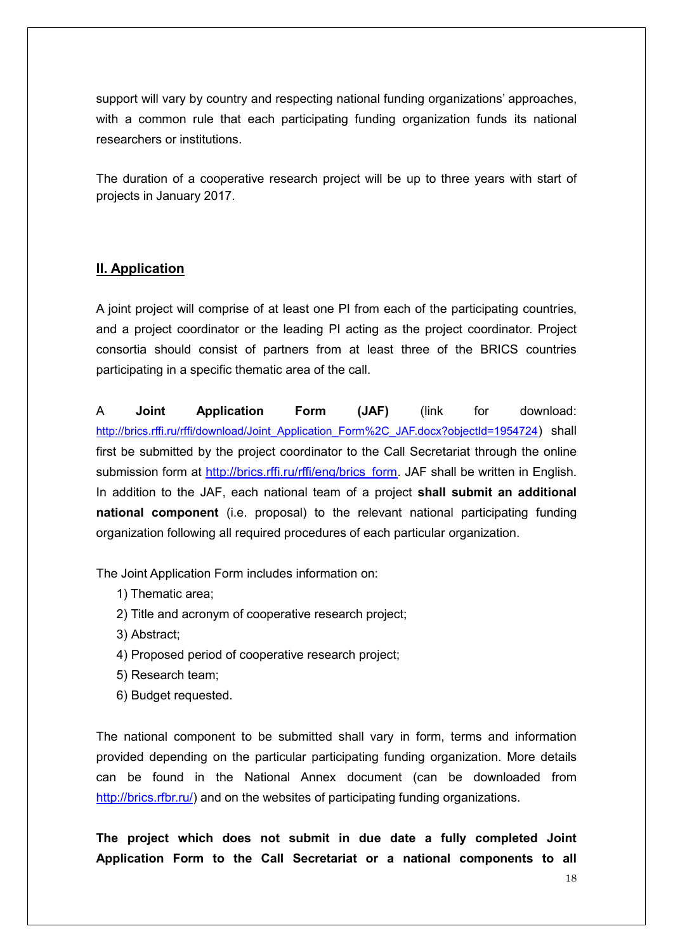support will vary by country and respecting national funding organizations' approaches, with a common rule that each participating funding organization funds its national researchers or institutions.

The duration of a cooperative research project will be up to three years with start of projects in January 2017.

# **II. Application**

A joint project will comprise of at least one PI from each of the participating countries, and a project coordinator or the leading PI acting as the project coordinator. Project consortia should consist of partners from at least three of the BRICS countries participating in a specific thematic area of the call.

A **Joint Application Form (JAF)** (link for download: [http://brics.rffi.ru/rffi/download/Joint\\_Application\\_Form%2C\\_JAF.docx?objectId=1954724](http://brics.rffi.ru/rffi/download/Joint_Application_Form%2C_JAF.docx?objectId=1954724)) shall first be submitted by the project coordinator to the Call Secretariat through the online submission form at [http://brics.rffi.ru/rffi/eng/brics\\_form.](http://brics.rffi.ru/rffi/eng/brics_form) JAF shall be written in English. In addition to the JAF, each national team of a project **shall submit an additional national component** (i.e. proposal) to the relevant national participating funding organization following all required procedures of each particular organization.

The Joint Application Form includes information on:

- 1) Thematic area;
- 2) Title and acronym of cooperative research project;
- 3) Abstract;
- 4) Proposed period of cooperative research project;
- 5) Research team;
- 6) Budget requested.

The national component to be submitted shall vary in form, terms and information provided depending on the particular participating funding organization. More details can be found in the National Annex document (can be downloaded from [http://brics.rfbr.ru/\)](http://brics.rfbr.ru/) and on the websites of participating funding organizations.

**The project which does not submit in due date a fully completed Joint Application Form to the Call Secretariat or a national components to all**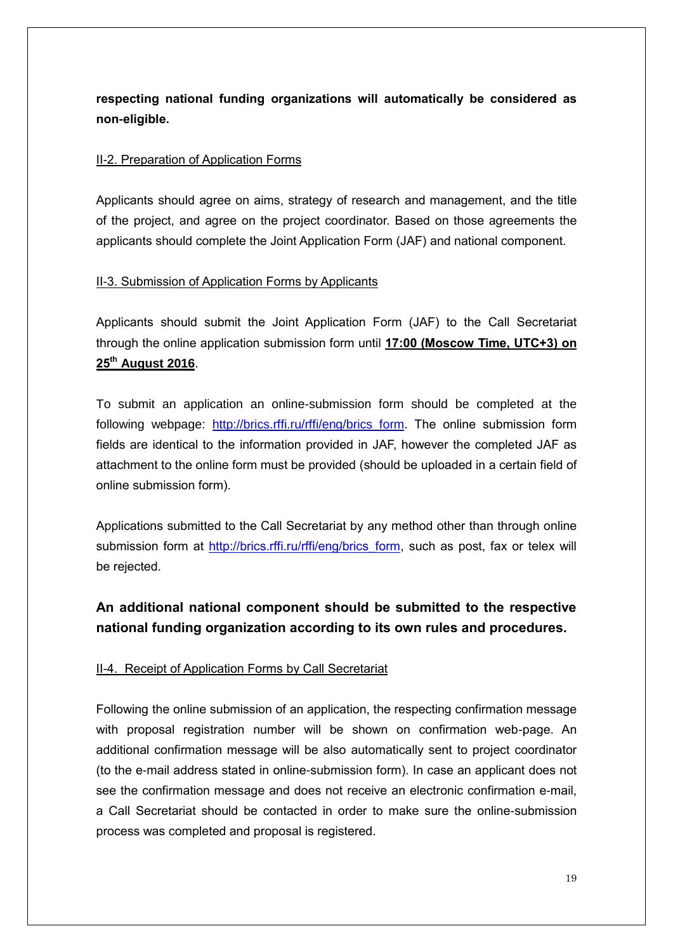**respecting national funding organizations will automatically be considered as non-eligible.** 

### II-2. Preparation of Application Forms

Applicants should agree on aims, strategy of research and management, and the title of the project, and agree on the project coordinator. Based on those agreements the applicants should complete the Joint Application Form (JAF) and national component.

## II-3. Submission of Application Forms by Applicants

Applicants should submit the Joint Application Form (JAF) to the Call Secretariat through the online application submission form until **17:00 (Moscow Time, UTC+3) on 25th August 2016**.

To submit an application an online-submission form should be completed at the following webpage: [http://brics.rffi.ru/rffi/eng/brics\\_form.](http://brics.rffi.ru/rffi/eng/brics_form) The online submission form fields are identical to the information provided in JAF, however the completed JAF as attachment to the online form must be provided (should be uploaded in a certain field of online submission form).

Applications submitted to the Call Secretariat by any method other than through online submission form at [http://brics.rffi.ru/rffi/eng/brics\\_form,](http://brics.rffi.ru/rffi/eng/brics_form) such as post, fax or telex will be rejected.

# **An additional national component should be submitted to the respective national funding organization according to its own rules and procedures.**

## II-4. Receipt of Application Forms by Call Secretariat

Following the online submission of an application, the respecting confirmation message with proposal registration number will be shown on confirmation web-page. An additional confirmation message will be also automatically sent to project coordinator (to the e-mail address stated in online-submission form). In case an applicant does not see the confirmation message and does not receive an electronic confirmation e-mail, a Call Secretariat should be contacted in order to make sure the online-submission process was completed and proposal is registered.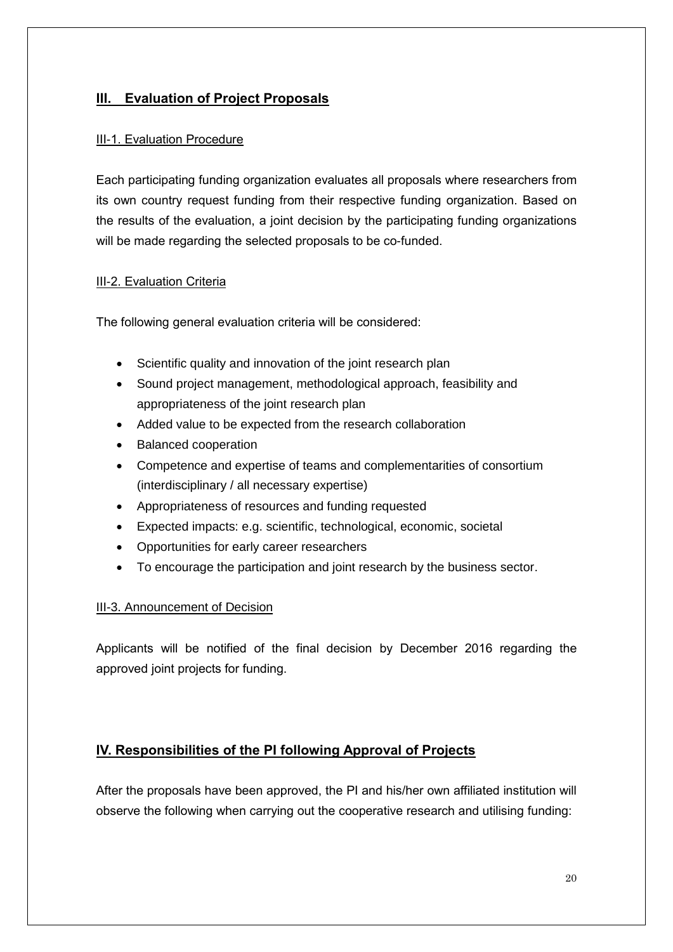# **III. Evaluation of Project Proposals**

### III-1. Evaluation Procedure

Each participating funding organization evaluates all proposals where researchers from its own country request funding from their respective funding organization. Based on the results of the evaluation, a joint decision by the participating funding organizations will be made regarding the selected proposals to be co-funded.

### III-2. Evaluation Criteria

The following general evaluation criteria will be considered:

- Scientific quality and innovation of the joint research plan
- Sound project management, methodological approach, feasibility and appropriateness of the joint research plan
- Added value to be expected from the research collaboration
- Balanced cooperation
- Competence and expertise of teams and complementarities of consortium (interdisciplinary / all necessary expertise)
- Appropriateness of resources and funding requested
- Expected impacts: e.g. scientific, technological, economic, societal
- Opportunities for early career researchers
- To encourage the participation and joint research by the business sector.

#### III-3. Announcement of Decision

Applicants will be notified of the final decision by December 2016 regarding the approved joint projects for funding.

# **IV. Responsibilities of the PI following Approval of Projects**

After the proposals have been approved, the PI and his/her own affiliated institution will observe the following when carrying out the cooperative research and utilising funding: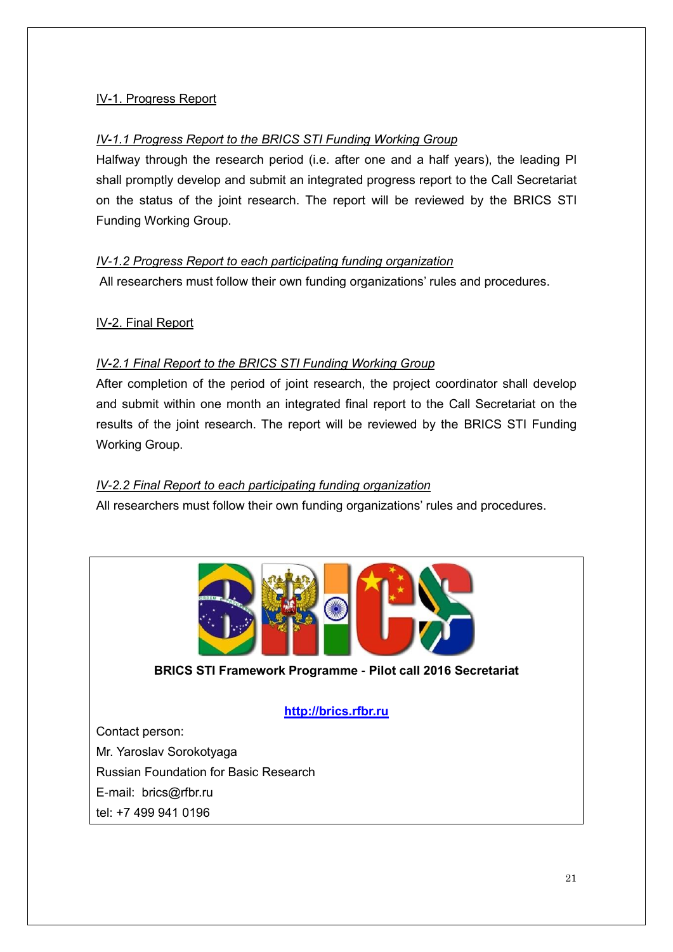# IV**-**1. Progress Report

## *IV-1.1 Progress Report to the BRICS STI Funding Working Group*

Halfway through the research period (i.e. after one and a half years), the leading PI shall promptly develop and submit an integrated progress report to the Call Secretariat on the status of the joint research. The report will be reviewed by the BRICS STI Funding Working Group.

# *IV-1.2 Progress Report to each participating funding organization*

All researchers must follow their own funding organizations' rules and procedures.

## IV**-**2. Final Report

# *IV-2.1 Final Report to the BRICS STI Funding Working Group*

After completion of the period of joint research, the project coordinator shall develop and submit within one month an integrated final report to the Call Secretariat on the results of the joint research. The report will be reviewed by the BRICS STI Funding Working Group.

## *IV-2.2 Final Report to each participating funding organization*

All researchers must follow their own funding organizations' rules and procedures.



## **BRICS STI Framework Programme - Pilot call 2016 Secretariat**

## **[http://brics.rfbr.ru](http://brics.rfbr.ru/)**

Contact person:

Mr. Yaroslav Sorokotyaga

Russian Foundation for Basic Research

E-mail: brics@rfbr.ru

tel: +7 499 941 0196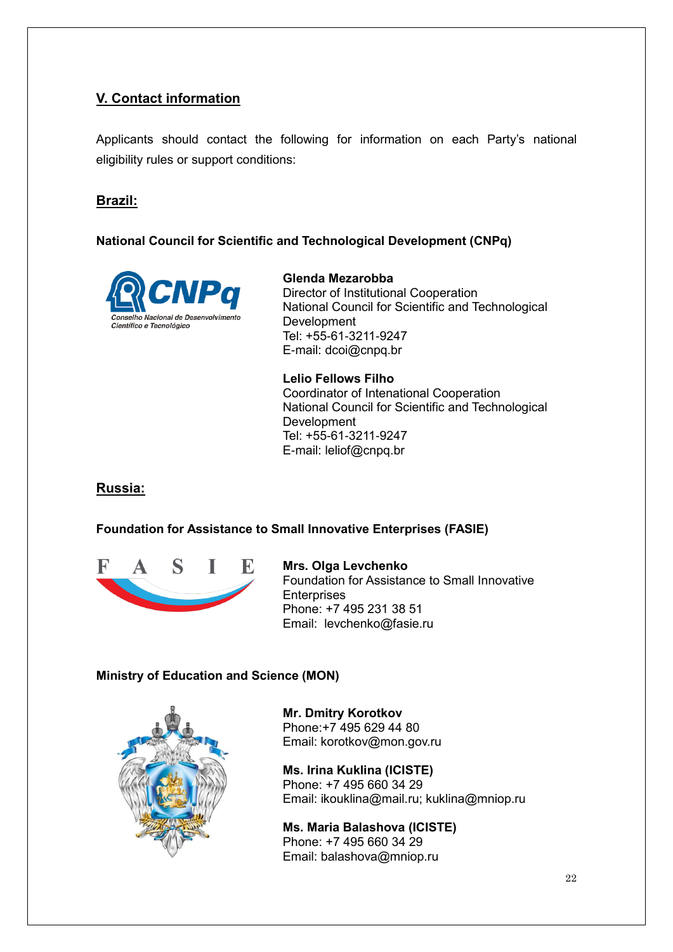# **V. Contact information**

Applicants should contact the following for information on each Party's national eligibility rules or support conditions:

# **Brazil:**

## **National Council for Scientific and Technological Development (CNPq)**



**Glenda Mezarobba** Director of Institutional Cooperation National Council for Scientific and Technological Development Tel: +55-61-3211-9247 E-mail: dcoi@cnpq.br

**Lelio Fellows Filho**  Coordinator of Intenational Cooperation National Council for Scientific and Technological Development Tel: +55-61-3211-9247 E-mail: leliof@cnpq.br

## **Russia:**

## **Foundation for Assistance to Small Innovative Enterprises (FASIE)**



**Mrs. Olga Levchenko** Foundation for Assistance to Small Innovative **Enterprises** Phone: +7 495 231 38 51 Email: levchenko@fasie.ru

## **Ministry of Education and Science (MON)**



**Mr. Dmitry Korotkov**  Phone:+7 495 629 44 80 Email: korotkov@mon.gov.ru

**Ms. Irina Kuklina (ICISTE)** Phone: +7 495 660 34 29 Email: ikouklina@mail.ru; kuklina@mniop.ru

**Ms. Maria Balashova (ICISTE)** Phone: +7 495 660 34 29 Email: balashova@mniop.ru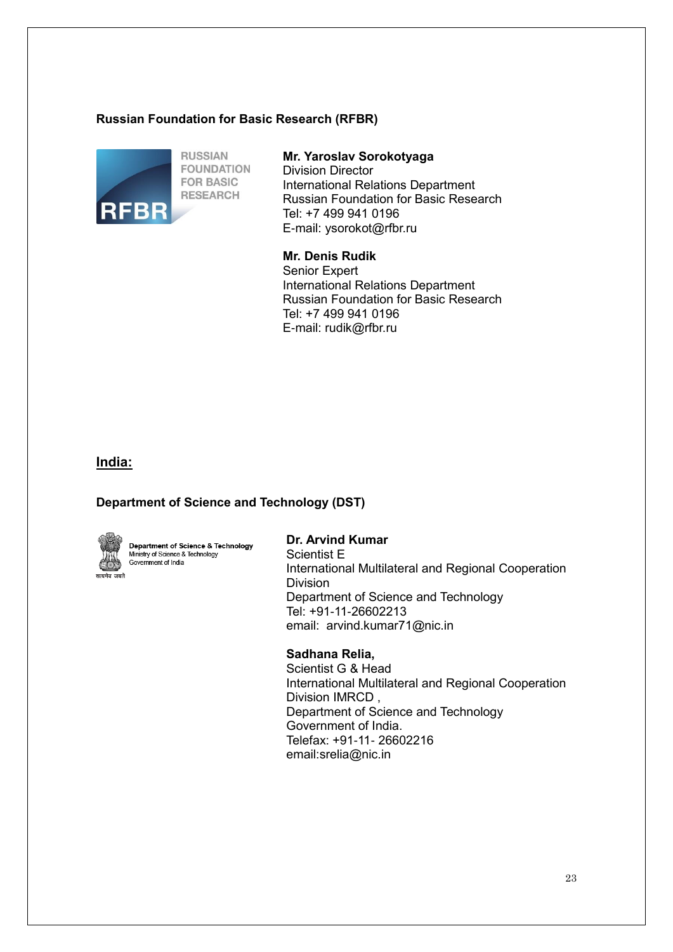#### **Russian Foundation for Basic Research (RFBR)**



#### **Mr. Yaroslav Sorokotyaga**

Division Director International Relations Department Russian Foundation for Basic Research Tel: +7 499 941 0196 E-mail: [ysorokot@rfbr.ru](mailto:ysorokot@rfbr.ru)

#### **Mr. Denis Rudik**

Senior Expert International Relations Department Russian Foundation for Basic Research Tel: +7 499 941 0196 E-mail: rudik@rfbr.ru

### **India:**

## **Department of Science and Technology (DST)**



Department of Science & Technology Ministry of Science & Technology Government of India

### **Dr. Arvind Kumar**

Scientist E International Multilateral and Regional Cooperation Division Department of Science and Technology Tel: +91-11-26602213 email: arvind.kumar71@nic.in

#### **Sadhana Relia,**

Scientist G & Head International Multilateral and Regional Cooperation Division IMRCD , Department of Science and Technology Government of India. Telefax: +91-11- 26602216 email:srelia@nic.in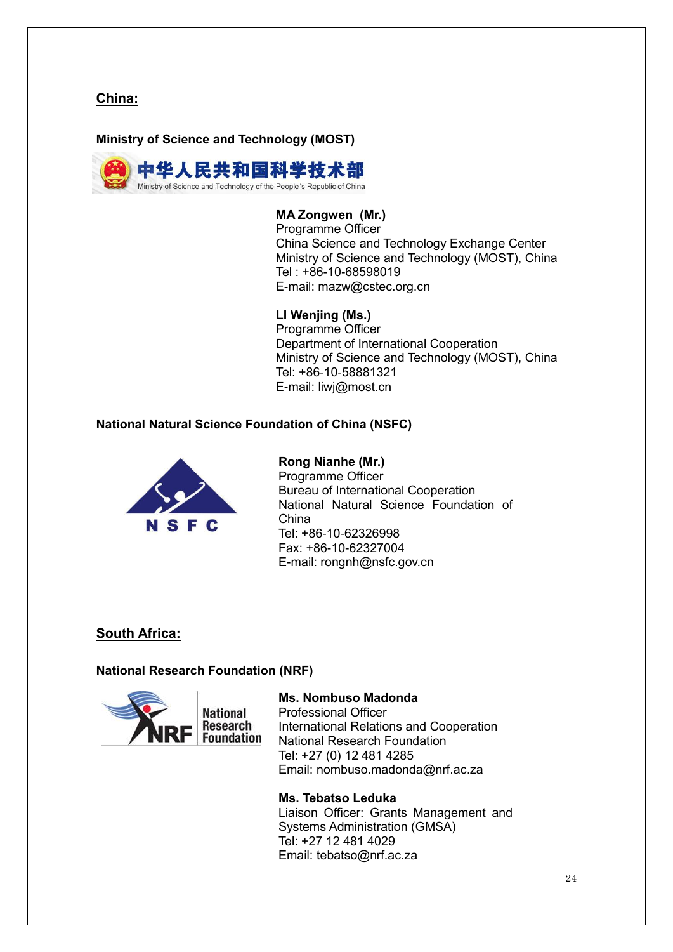**China:**

**Ministry of Science and Technology (MOST)**



# **MA Zongwen (Mr.)**

Programme Officer China Science and Technology Exchange Center Ministry of Science and Technology (MOST), China Tel : +86-10-68598019 E-mail: mazw@cstec.org.cn

### **LI Wenjing (Ms.)**

Programme Officer Department of International Cooperation Ministry of Science and Technology (MOST), China Tel: +86-10-58881321 E-mail: liwj@most.cn

### **National Natural Science Foundation of China (NSFC)**



### **Rong Nianhe (Mr.)**

Programme Officer Bureau of International Cooperation National Natural Science Foundation of China Tel: +86-10-62326998 Fax: +86-10-62327004 E-mail: rongnh@nsfc.gov.cn

## **South Africa:**

#### **National Research Foundation (NRF)**



#### **Ms. Nombuso Madonda**

Professional Officer International Relations and Cooperation National Research Foundation Tel: +27 (0) 12 481 4285 Email: nombuso.madonda@nrf.ac.za

#### **Ms. Tebatso Leduka**

Liaison Officer: Grants Management and Systems Administration (GMSA) Tel: +27 12 481 4029 Email: tebatso@nrf.ac.za